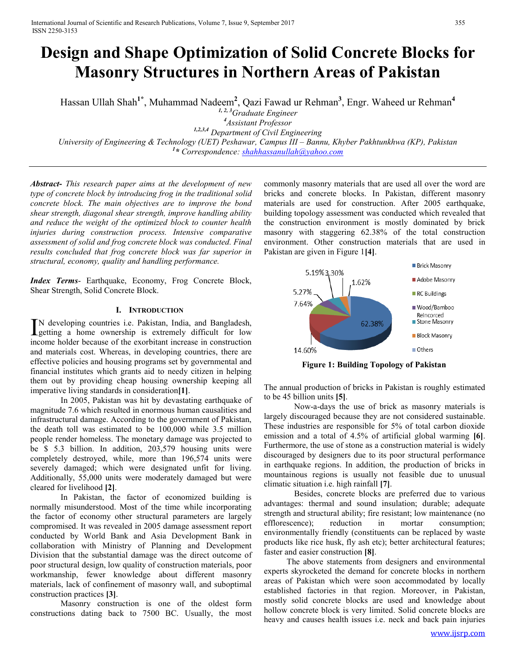# **Design and Shape Optimization of Solid Concrete Blocks for Masonry Structures in Northern Areas of Pakistan**

Hassan Ullah Shah**1\*** , Muhammad Nadeem**<sup>2</sup>** , Qazi Fawad ur Rehman**<sup>3</sup>** , Engr. Waheed ur Rehman**<sup>4</sup>**

*1, 2, 3Graduate Engineer*

*<sup>4</sup>Assistant Professor 1,2,3,4 Department of Civil Engineering University of Engineering & Technology (UET) Peshawar, Campus III – Bannu, Khyber Pakhtunkhwa (KP), Pakistan 1 \* Correspondence: [shahhassanullah@yahoo.com](mailto:shahhassanullah@yahoo.com)*

*Abstract***-** *This research paper aims at the development of new type of concrete block by introducing frog in the traditional solid concrete block. The main objectives are to improve the bond shear strength, diagonal shear strength, improve handling ability and reduce the weight of the optimized block to counter health injuries during construction process. Intensive comparative assessment of solid and frog concrete block was conducted. Final results concluded that frog concrete block was far superior in structural, economy, quality and handling performance.*

*Index Terms*- Earthquake, Economy, Frog Concrete Block, Shear Strength, Solid Concrete Block.

## **I. INTRODUCTION**

N developing countries i.e. Pakistan, India, and Bangladesh, IN developing countries i.e. Pakistan, India, and Bangladesh, getting a home ownership is extremely difficult for low income holder because of the exorbitant increase in construction and materials cost. Whereas, in developing countries, there are effective policies and housing programs set by governmental and financial institutes which grants aid to needy citizen in helping them out by providing cheap housing ownership keeping all imperative living standards in consideration**[1]**.

In 2005, Pakistan was hit by devastating earthquake of magnitude 7.6 which resulted in enormous human causalities and infrastructural damage. According to the government of Pakistan, the death toll was estimated to be 100,000 while 3.5 million people render homeless. The monetary damage was projected to be \$ 5.3 billion. In addition, 203,579 housing units were completely destroyed, while, more than 196,574 units were severely damaged; which were designated unfit for living. Additionally, 55,000 units were moderately damaged but were cleared for livelihood **[2]**.

In Pakistan, the factor of economized building is normally misunderstood. Most of the time while incorporating the factor of economy other structural parameters are largely compromised. It was revealed in 2005 damage assessment report conducted by World Bank and Asia Development Bank in collaboration with Ministry of Planning and Development Division that the substantial damage was the direct outcome of poor structural design, low quality of construction materials, poor workmanship, fewer knowledge about different masonry materials, lack of confinement of masonry wall, and suboptimal construction practices **[3]**.

Masonry construction is one of the oldest form constructions dating back to 7500 BC. Usually, the most commonly masonry materials that are used all over the word are bricks and concrete blocks. In Pakistan, different masonry materials are used for construction. After 2005 earthquake, building topology assessment was conducted which revealed that the construction environment is mostly dominated by brick masonry with staggering 62.38% of the total construction environment. Other construction materials that are used in Pakistan are given in Figure 1**[4]**.



**Figure 1: Building Topology of Pakistan**

The annual production of bricks in Pakistan is roughly estimated to be 45 billion units **[5]**.

Now-a-days the use of brick as masonry materials is largely discouraged because they are not considered sustainable. These industries are responsible for 5% of total carbon dioxide emission and a total of 4.5% of artificial global warming **[6]**. Furthermore, the use of stone as a construction material is widely discouraged by designers due to its poor structural performance in earthquake regions. In addition, the production of bricks in mountainous regions is usually not feasible due to unusual climatic situation i.e. high rainfall **[7]**.

Besides, concrete blocks are preferred due to various advantages: thermal and sound insulation; durable; adequate strength and structural ability; fire resistant; low maintenance (no efflorescence); reduction in mortar consumption; environmentally friendly (constituents can be replaced by waste products like rice husk, fly ash etc); better architectural features; faster and easier construction **[8]**.

The above statements from designers and environmental experts skyrocketed the demand for concrete blocks in northern areas of Pakistan which were soon accommodated by locally established factories in that region. Moreover, in Pakistan, mostly solid concrete blocks are used and knowledge about hollow concrete block is very limited. Solid concrete blocks are heavy and causes health issues i.e. neck and back pain injuries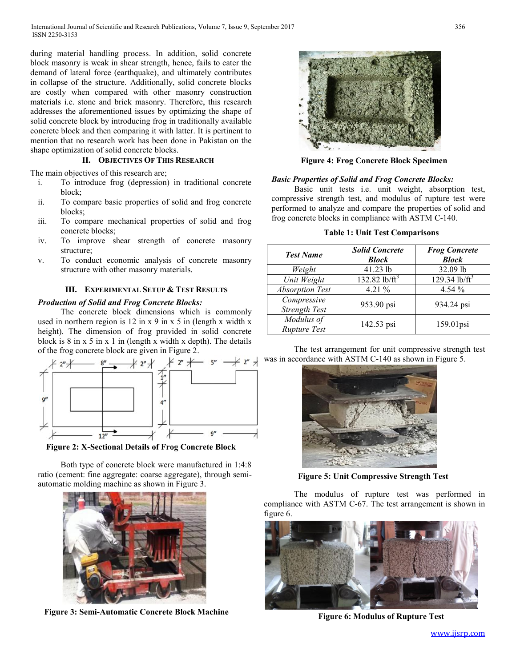during material handling process. In addition, solid concrete block masonry is weak in shear strength, hence, fails to cater the demand of lateral force (earthquake), and ultimately contributes in collapse of the structure. Additionally, solid concrete blocks are costly when compared with other masonry construction materials i.e. stone and brick masonry. Therefore, this research addresses the aforementioned issues by optimizing the shape of solid concrete block by introducing frog in traditionally available concrete block and then comparing it with latter. It is pertinent to mention that no research work has been done in Pakistan on the shape optimization of solid concrete blocks.

## **II. OBJECTIVES OF THIS RESEARCH**

The main objectives of this research are;

- i. To introduce frog (depression) in traditional concrete block;
- ii. To compare basic properties of solid and frog concrete blocks;
- iii. To compare mechanical properties of solid and frog concrete blocks;
- iv. To improve shear strength of concrete masonry structure;
- v. To conduct economic analysis of concrete masonry structure with other masonry materials.

## **III. EXPERIMENTAL SETUP & TEST RESULTS**

### *Production of Solid and Frog Concrete Blocks:*

The concrete block dimensions which is commonly used in northern region is 12 in x 9 in x 5 in (length x width x height). The dimension of frog provided in solid concrete block is  $8$  in  $x$  5 in  $x$  1 in (length  $x$  width  $x$  depth). The details of the frog concrete block are given in Figure 2.



**Figure 2: X-Sectional Details of Frog Concrete Block**

Both type of concrete block were manufactured in 1:4:8 ratio (cement: fine aggregate: coarse aggregate), through semiautomatic molding machine as shown in Figure 3.



**Figure 3: Semi-Automatic Concrete Block Machine**



**Figure 4: Frog Concrete Block Specimen**

#### *Basic Properties of Solid and Frog Concrete Blocks:*

Basic unit tests i.e. unit weight, absorption test, compressive strength test, and modulus of rupture test were performed to analyze and compare the properties of solid and frog concrete blocks in compliance with ASTM C-140.

#### **Table 1: Unit Test Comparisons**

| <b>Test Name</b>             | <b>Solid Concrete</b><br><b>Block</b> | <b>Frog Concrete</b><br><b>Block</b> |
|------------------------------|---------------------------------------|--------------------------------------|
| Weight                       | 41.23 lb                              | 32.09 lb                             |
| Unit Weight                  | 132.82 lb/ $\text{ft}^3$              | 129.34 lb/ $\rm{ft}^3$               |
| <b>Absorption Test</b>       | 4.21 $%$                              | $4.54\%$                             |
| Compressive<br>Strength Test | 953.90 psi                            | 934.24 psi                           |
| Modulus of<br>Rupture Test   | 142.53 psi                            | 159.01psi                            |

The test arrangement for unit compressive strength test was in accordance with ASTM C-140 as shown in Figure 5.



**Figure 5: Unit Compressive Strength Test**

The modulus of rupture test was performed in compliance with ASTM C-67. The test arrangement is shown in figure 6.



**Figure 6: Modulus of Rupture Test**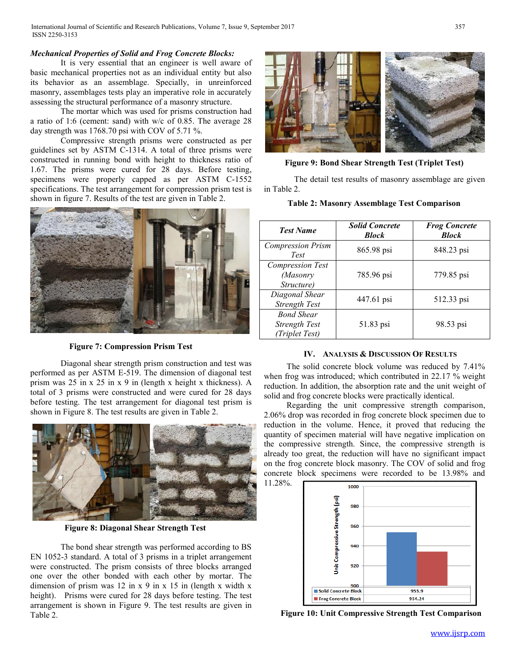## *Mechanical Properties of Solid and Frog Concrete Blocks:*

It is very essential that an engineer is well aware of basic mechanical properties not as an individual entity but also its behavior as an assemblage. Specially, in unreinforced masonry, assemblages tests play an imperative role in accurately assessing the structural performance of a masonry structure.

The mortar which was used for prisms construction had a ratio of 1:6 (cement: sand) with w/c of 0.85. The average 28 day strength was 1768.70 psi with COV of 5.71 %.

Compressive strength prisms were constructed as per guidelines set by ASTM C-1314. A total of three prisms were constructed in running bond with height to thickness ratio of 1.67. The prisms were cured for 28 days. Before testing, specimens were properly capped as per ASTM C-1552 specifications. The test arrangement for compression prism test is shown in figure 7. Results of the test are given in Table 2.



**Figure 7: Compression Prism Test**

Diagonal shear strength prism construction and test was performed as per ASTM E-519. The dimension of diagonal test prism was 25 in x 25 in x 9 in (length x height x thickness). A total of 3 prisms were constructed and were cured for 28 days before testing. The test arrangement for diagonal test prism is shown in Figure 8. The test results are given in Table 2.



**Figure 8: Diagonal Shear Strength Test**

The bond shear strength was performed according to BS EN 1052-3 standard. A total of 3 prisms in a triplet arrangement were constructed. The prism consists of three blocks arranged one over the other bonded with each other by mortar. The dimension of prism was 12 in x 9 in x 15 in (length x width x height). Prisms were cured for 28 days before testing. The test arrangement is shown in Figure 9. The test results are given in Table 2.



**Figure 9: Bond Shear Strength Test (Triplet Test)**

The detail test results of masonry assemblage are given in Table 2.

### **Table 2: Masonry Assemblage Test Comparison**

| <b>Test Name</b>                                     | <b>Solid Concrete</b><br><b>Block</b> | <b>Frog Concrete</b><br><b>Block</b> |
|------------------------------------------------------|---------------------------------------|--------------------------------------|
| <b>Compression Prism</b><br>Test                     | 865.98 psi                            | 848.23 psi                           |
| <b>Compression Test</b><br>(Masonry<br>Structure)    | 785.96 psi                            | 779.85 psi                           |
| Diagonal Shear<br>Strength Test                      | 447.61 psi                            | 512.33 psi                           |
| <b>Bond Shear</b><br>Strength Test<br>(Triplet Test) | 51.83 psi                             | 98.53 psi                            |

### **IV. ANALYSIS & DISCUSSION OF RESULTS**

The solid concrete block volume was reduced by 7.41% when frog was introduced; which contributed in 22.17 % weight reduction. In addition, the absorption rate and the unit weight of solid and frog concrete blocks were practically identical.

Regarding the unit compressive strength comparison, 2.06% drop was recorded in frog concrete block specimen due to reduction in the volume. Hence, it proved that reducing the quantity of specimen material will have negative implication on the compressive strength. Since, the compressive strength is already too great, the reduction will have no significant impact on the frog concrete block masonry. The COV of solid and frog concrete block specimens were recorded to be 13.98% and 11.28%.



**Figure 10: Unit Compressive Strength Test Comparison**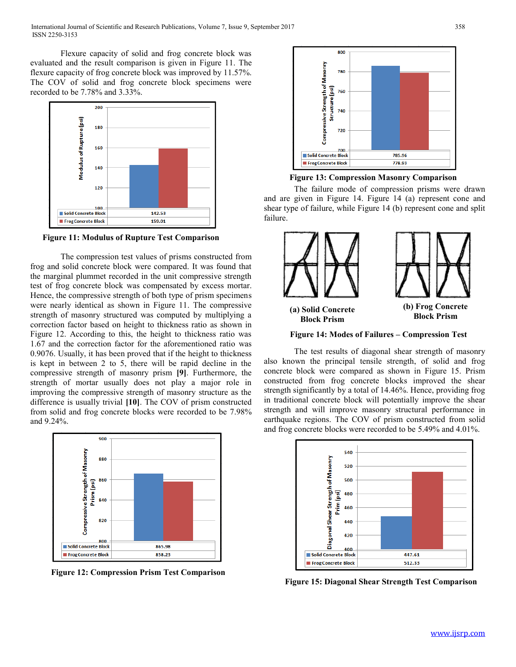Flexure capacity of solid and frog concrete block was evaluated and the result comparison is given in Figure 11. The flexure capacity of frog concrete block was improved by 11.57%. The COV of solid and frog concrete block specimens were recorded to be 7.78% and 3.33%.



**Figure 11: Modulus of Rupture Test Comparison**

The compression test values of prisms constructed from frog and solid concrete block were compared. It was found that the marginal plummet recorded in the unit compressive strength test of frog concrete block was compensated by excess mortar. Hence, the compressive strength of both type of prism specimens were nearly identical as shown in Figure 11. The compressive strength of masonry structured was computed by multiplying a correction factor based on height to thickness ratio as shown in Figure 12. According to this, the height to thickness ratio was 1.67 and the correction factor for the aforementioned ratio was 0.9076. Usually, it has been proved that if the height to thickness is kept in between 2 to 5, there will be rapid decline in the compressive strength of masonry prism **[9]**. Furthermore, the strength of mortar usually does not play a major role in improving the compressive strength of masonry structure as the difference is usually trivial **[10]**. The COV of prism constructed from solid and frog concrete blocks were recorded to be 7.98% and 9.24%.



**Figure 12: Compression Prism Test Comparison**



**Figure 13: Compression Masonry Comparison**

The failure mode of compression prisms were drawn and are given in Figure 14. Figure 14 (a) represent cone and shear type of failure, while Figure 14 (b) represent cone and split failure.



**Figure 14: Modes of Failures – Compression Test**

The test results of diagonal shear strength of masonry also known the principal tensile strength, of solid and frog concrete block were compared as shown in Figure 15. Prism constructed from frog concrete blocks improved the shear strength significantly by a total of 14.46%. Hence, providing frog in traditional concrete block will potentially improve the shear strength and will improve masonry structural performance in earthquake regions. The COV of prism constructed from solid and frog concrete blocks were recorded to be 5.49% and 4.01%.



**Figure 15: Diagonal Shear Strength Test Comparison**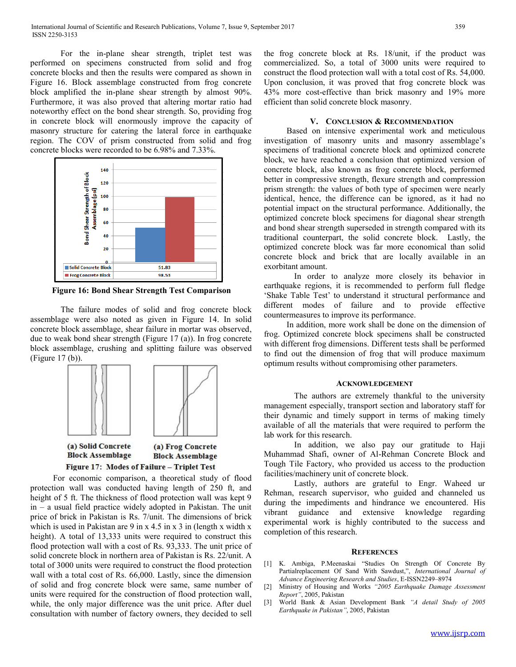For the in-plane shear strength, triplet test was performed on specimens constructed from solid and frog concrete blocks and then the results were compared as shown in Figure 16. Block assemblage constructed from frog concrete block amplified the in-plane shear strength by almost 90%. Furthermore, it was also proved that altering mortar ratio had noteworthy effect on the bond shear strength. So, providing frog in concrete block will enormously improve the capacity of masonry structure for catering the lateral force in earthquake region. The COV of prism constructed from solid and frog concrete blocks were recorded to be 6.98% and 7.33%.



**Figure 16: Bond Shear Strength Test Comparison**

The failure modes of solid and frog concrete block assemblage were also noted as given in Figure 14. In solid concrete block assemblage, shear failure in mortar was observed, due to weak bond shear strength (Figure 17 (a)). In frog concrete block assemblage, crushing and splitting failure was observed (Figure 17 (b)).



For economic comparison, a theoretical study of flood protection wall was conducted having length of 250 ft, and height of 5 ft. The thickness of flood protection wall was kept 9 in – a usual field practice widely adopted in Pakistan. The unit price of brick in Pakistan is Rs. 7/unit. The dimensions of brick which is used in Pakistan are 9 in  $x$  4.5 in  $x$  3 in (length x width x height). A total of 13,333 units were required to construct this flood protection wall with a cost of Rs. 93,333. The unit price of solid concrete block in northern area of Pakistan is Rs. 22/unit. A total of 3000 units were required to construct the flood protection wall with a total cost of Rs. 66,000. Lastly, since the dimension of solid and frog concrete block were same, same number of units were required for the construction of flood protection wall, while, the only major difference was the unit price. After duel consultation with number of factory owners, they decided to sell

the frog concrete block at Rs. 18/unit, if the product was commercialized. So, a total of 3000 units were required to construct the flood protection wall with a total cost of Rs. 54,000. Upon conclusion, it was proved that frog concrete block was 43% more cost-effective than brick masonry and 19% more efficient than solid concrete block masonry.

#### **V. CONCLUSION & RECOMMENDATION**

Based on intensive experimental work and meticulous investigation of masonry units and masonry assemblage's specimens of traditional concrete block and optimized concrete block, we have reached a conclusion that optimized version of concrete block, also known as frog concrete block, performed better in compressive strength, flexure strength and compression prism strength: the values of both type of specimen were nearly identical, hence, the difference can be ignored, as it had no potential impact on the structural performance. Additionally, the optimized concrete block specimens for diagonal shear strength and bond shear strength superseded in strength compared with its traditional counterpart, the solid concrete block. Lastly, the optimized concrete block was far more economical than solid concrete block and brick that are locally available in an exorbitant amount.

In order to analyze more closely its behavior in earthquake regions, it is recommended to perform full fledge 'Shake Table Test' to understand it structural performance and different modes of failure and to provide effective countermeasures to improve its performance.

In addition, more work shall be done on the dimension of frog. Optimized concrete block specimens shall be constructed with different frog dimensions. Different tests shall be performed to find out the dimension of frog that will produce maximum optimum results without compromising other parameters.

#### **ACKNOWLEDGEMENT**

The authors are extremely thankful to the university management especially, transport section and laboratory staff for their dynamic and timely support in terms of making timely available of all the materials that were required to perform the lab work for this research.

In addition, we also pay our gratitude to Haji Muhammad Shafi, owner of Al-Rehman Concrete Block and Tough Tile Factory, who provided us access to the production facilities/machinery unit of concrete block.

Lastly, authors are grateful to Engr. Waheed ur Rehman, research supervisor, who guided and channeled us during the impediments and hindrance we encountered. His vibrant guidance and extensive knowledge regarding experimental work is highly contributed to the success and completion of this research.

#### **REFERENCES**

- [1] K. Ambiga, P.Meenaskai "Studies On Strength Of Concrete By Partialreplacement Of Sand With Sawdust,", *International Journal of Advance Engineering Research and Studies*, E-ISSN2249–8974
- [2] Ministry of Housing and Works *"2005 Earthquake Damage Assessment Report"*, 2005, Pakistan
- [3] World Bank & Asian Development Bank *"A detail Study of 2005 Earthquake in Pakistan"*, 2005, Pakistan